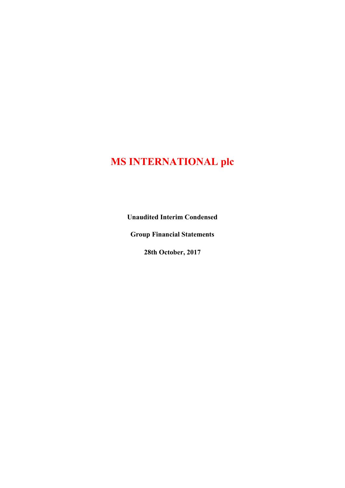# MS INTERNATIONAL plc

Unaudited Interim Condensed

Group Financial Statements

28th October, 2017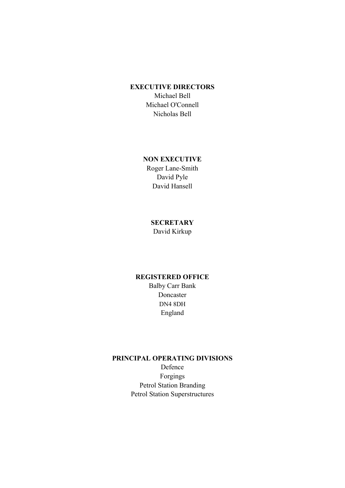### EXECUTIVE DIRECTORS

Michael Bell Michael O'Connell Nicholas Bell

### NON EXECUTIVE

Roger Lane-Smith David Pyle David Hansell

**SECRETARY** David Kirkup

## REGISTERED OFFICE

Balby Carr Bank Doncaster DN4 8DH England

### PRINCIPAL OPERATING DIVISIONS

Defence Forgings Petrol Station Branding Petrol Station Superstructures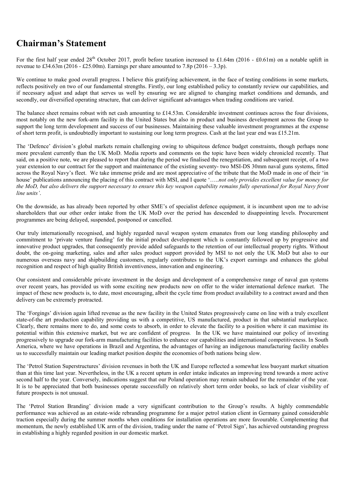## Chairman's Statement

For the first half year ended  $28<sup>th</sup>$  October 2017, profit before taxation increased to £1.64m (2016 - £0.61m) on a notable uplift in revenue to £34.63m (2016 - £25.00m). Earnings per share amounted to  $7.8p$  (2016 – 3.3p).

We continue to make good overall progress. I believe this gratifying achievement, in the face of testing conditions in some markets, reflects positively on two of our fundamental strengths. Firstly, our long established policy to constantly review our capabilities, and if necessary adjust and adapt that serves us well by ensuring we are aligned to changing market conditions and demands, and secondly, our diversified operating structure, that can deliver significant advantages when trading conditions are varied.

The balance sheet remains robust with net cash amounting to £14.53m. Considerable investment continues across the four divisions, most notably on the new fork-arm facility in the United States but also in product and business development across the Group to support the long term development and success of our businesses. Maintaining these valuable investment programmes at the expense of short term profit, is undoubtedly important to sustaining our long term progress. Cash at the last year end was £15.21m.

The 'Defence' division's global markets remain challenging owing to ubiquitous defence budget constraints, though perhaps none more prevalent currently than the UK MoD. Media reports and comments on the topic have been widely chronicled recently. That said, on a positive note, we are pleased to report that during the period we finalised the renegotiation, and subsequent receipt, of a two year extension to our contract for the support and maintenance of the existing seventy- two MSI-DS 30mm naval guns systems, fitted across the Royal Navy's fleet. We take immense pride and are most appreciative of the tribute that the MoD made in one of their 'in house' publications announcing the placing of this contract with MSI, and I quote '…..*not only provides excellent value for money for the MoD, but also delivers the support necessary to ensure this key weapon capability remains fully operational for Royal Navy front line units'*.

On the downside, as has already been reported by other SME's of specialist defence equipment, it is incumbent upon me to advise shareholders that our other order intake from the UK MoD over the period has descended to disappointing levels. Procurement programmes are being delayed, suspended, postponed or cancelled.

Our truly internationally recognised, and highly regarded naval weapon system emanates from our long standing philosophy and commitment to 'private venture funding' for the initial product development which is constantly followed up by progressive and innovative product upgrades, that consequently provide added safeguards to the retention of our intellectual property rights. Without doubt, the on-going marketing, sales and after sales product support provided by MSI to not only the UK MoD but also to our numerous overseas navy and shipbuilding customers, regularly contributes to the UK's export earnings and enhances the global recognition and respect of high quality British inventiveness, innovation and engineering.

Our consistent and considerable private investment in the design and development of a comprehensive range of naval gun systems over recent years, has provided us with some exciting new products now on offer to the wider international defence market. The impact of these new products is, to date, most encouraging, albeit the cycle time from product availability to a contract award and then delivery can be extremely protracted.

The 'Forgings' division again lifted revenue as the new facility in the United States progressively came on line with a truly excellent state-of-the art production capability providing us with a competitive, US manufactured, product in that substantial marketplace. Clearly, there remains more to do, and some costs to absorb, in order to elevate the facility to a position where it can maximise its potential within this extensive market, but we are confident of progress. In the UK we have maintained our policy of investing progressively to upgrade our fork-arm manufacturing facilities to enhance our capabilities and international competitiveness. In South America, where we have operations in Brazil and Argentina, the advantages of having an indigenous manufacturing facility enables us to successfully maintain our leading market position despite the economies of both nations being slow.

The 'Petrol Station Superstructures' division revenues in both the UK and Europe reflected a somewhat less buoyant market situation than at this time last year. Nevertheless, in the UK a recent upturn in order intake indicates an improving trend towards a more active second half to the year. Conversely, indications suggest that our Poland operation may remain subdued for the remainder of the year. It is to be appreciated that both businesses operate successfully on relatively short term order books, so lack of clear visibility of future prospects is not unusual.

The 'Petrol Station Branding' division made a very significant contribution to the Group's results. A highly commendable performance was achieved as an estate-wide rebranding programme for a major petrol station client in Germany gained considerable traction especially during the summer months when conditions for installation operations are more favourable. Complementing that momentum, the newly established UK arm of the division, trading under the name of 'Petrol Sign', has achieved outstanding progress in establishing a highly regarded position in our domestic market.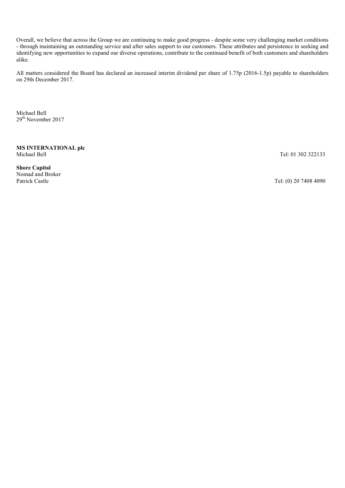Overall, we believe that across the Group we are continuing to make good progress - despite some very challenging market conditions - through maintaining an outstanding service and after sales support to our customers. These attributes and persistence in seeking and identifying new opportunities to expand our diverse operations, contribute to the continued benefit of both customers and shareholders alike.

All matters considered the Board has declared an increased interim dividend per share of 1.75p (2016-1.5p) payable to shareholders on 29th December 2017.

Michael Bell 29<sup>th</sup> November 2017

MS INTERNATIONAL plc Michael Bell Tel: 01 302 322133

Shore Capital Nomad and Broker<br>Patrick Castle

Tel: (0) 20 7408 4090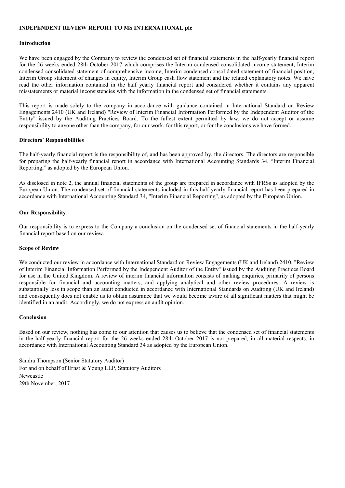### INDEPENDENT REVIEW REPORT TO MS INTERNATIONAL plc

### Introduction

We have been engaged by the Company to review the condensed set of financial statements in the half-yearly financial report for the 26 weeks ended 28th October 2017 which comprises the Interim condensed consolidated income statement, Interim condensed consolidated statement of comprehensive income, Interim condensed consolidated statement of financial position, Interim Group statement of changes in equity, Interim Group cash flow statement and the related explanatory notes. We have read the other information contained in the half yearly financial report and considered whether it contains any apparent misstatements or material inconsistencies with the information in the condensed set of financial statements.

This report is made solely to the company in accordance with guidance contained in International Standard on Review Engagements 2410 (UK and Ireland) "Review of Interim Financial Information Performed by the Independent Auditor of the Entity" issued by the Auditing Practices Board. To the fullest extent permitted by law, we do not accept or assume responsibility to anyone other than the company, for our work, for this report, or for the conclusions we have formed.

### Directors' Responsibilities

The half-yearly financial report is the responsibility of, and has been approved by, the directors. The directors are responsible for preparing the half-yearly financial report in accordance with International Accounting Standards 34, "Interim Financial Reporting," as adopted by the European Union.

As disclosed in note 2, the annual financial statements of the group are prepared in accordance with IFRSs as adopted by the European Union. The condensed set of financial statements included in this half-yearly financial report has been prepared in accordance with International Accounting Standard 34, "Interim Financial Reporting", as adopted by the European Union.

### Our Responsibility

Our responsibility is to express to the Company a conclusion on the condensed set of financial statements in the half-yearly financial report based on our review.

### Scope of Review

We conducted our review in accordance with International Standard on Review Engagements (UK and Ireland) 2410, "Review of Interim Financial Information Performed by the Independent Auditor of the Entity" issued by the Auditing Practices Board for use in the United Kingdom. A review of interim financial information consists of making enquiries, primarily of persons responsible for financial and accounting matters, and applying analytical and other review procedures. A review is substantially less in scope than an audit conducted in accordance with International Standards on Auditing (UK and Ireland) and consequently does not enable us to obtain assurance that we would become aware of all significant matters that might be identified in an audit. Accordingly, we do not express an audit opinion.

### Conclusion

Based on our review, nothing has come to our attention that causes us to believe that the condensed set of financial statements in the half-yearly financial report for the 26 weeks ended 28th October 2017 is not prepared, in all material respects, in accordance with International Accounting Standard 34 as adopted by the European Union.

Sandra Thompson (Senior Statutory Auditor) For and on behalf of Ernst & Young LLP, Statutory Auditors Newcastle 29th November, 2017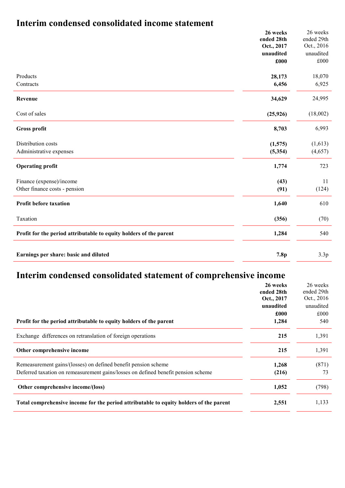# Interim condensed consolidated income statement

| 26 weeks                                                                    | 26 weeks   |
|-----------------------------------------------------------------------------|------------|
| ended 28th                                                                  | ended 29th |
| Oct., 2017                                                                  | Oct., 2016 |
| unaudited                                                                   | unaudited  |
| £000                                                                        | £000       |
| Products<br>28,173                                                          | 18,070     |
| 6,456<br>Contracts                                                          | 6,925      |
| 34,629<br>Revenue                                                           | 24,995     |
| Cost of sales<br>(25, 926)                                                  | (18,002)   |
| 8,703<br>Gross profit                                                       | 6,993      |
| (1,575)<br>Distribution costs                                               | (1,613)    |
| Administrative expenses<br>(5, 354)                                         | (4,657)    |
| <b>Operating profit</b><br>1,774                                            | 723        |
| Finance (expense)/income<br>(43)                                            | 11         |
| Other finance costs - pension<br>(91)                                       | (124)      |
| Profit before taxation<br>1,640                                             | 610        |
| Taxation<br>(356)                                                           | (70)       |
| Profit for the period attributable to equity holders of the parent<br>1,284 | 540        |
| Earnings per share: basic and diluted<br>7.8p                               | 3.3p       |

# Interim condensed consolidated statement of comprehensive income

|                                                                                        | 26 weeks   | 26 weeks   |
|----------------------------------------------------------------------------------------|------------|------------|
|                                                                                        | ended 28th | ended 29th |
|                                                                                        | Oct., 2017 | Oct., 2016 |
|                                                                                        | unaudited  | unaudited  |
|                                                                                        | £000       | £000       |
| Profit for the period attributable to equity holders of the parent                     | 1,284      | 540        |
| Exchange differences on retranslation of foreign operations                            | 215        | 1,391      |
| Other comprehensive income                                                             | 215        | 1,391      |
| Remeasurement gains/(losses) on defined benefit pension scheme                         | 1,268      | (871)      |
| Deferred taxation on remeasurement gains/losses on defined benefit pension scheme      | (216)      | 73         |
| Other comprehensive income/(loss)                                                      | 1,052      | (798)      |
| Total comprehensive income for the period attributable to equity holders of the parent | 2,551      | 1,133      |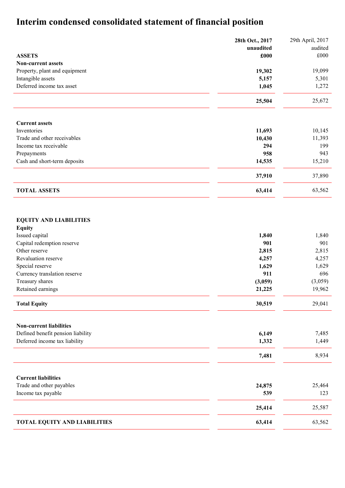# Interim condensed consolidated statement of financial position

|                                   | 28th Oct., 2017   | 29th April, 2017 |
|-----------------------------------|-------------------|------------------|
| <b>ASSETS</b>                     | unaudited<br>£000 | audited<br>£000  |
| <b>Non-current assets</b>         |                   |                  |
| Property, plant and equipment     | 19,302            | 19,099           |
| Intangible assets                 | 5,157             | 5,301            |
| Deferred income tax asset         | 1,045             | 1,272            |
|                                   |                   |                  |
|                                   | 25,504            | 25,672           |
| <b>Current assets</b>             |                   |                  |
| Inventories                       | 11,693            | 10,145           |
| Trade and other receivables       | 10,430            | 11,393           |
| Income tax receivable             | 294               | 199              |
| Prepayments                       | 958               | 943              |
| Cash and short-term deposits      | 14,535            | 15,210           |
|                                   | 37,910            | 37,890           |
| <b>TOTAL ASSETS</b>               | 63,414            | 63,562           |
| <b>EQUITY AND LIABILITIES</b>     |                   |                  |
| <b>Equity</b>                     |                   |                  |
| Issued capital                    | 1,840             | 1,840            |
| Capital redemption reserve        | 901               | 901              |
| Other reserve                     | 2,815             | 2,815            |
| Revaluation reserve               | 4,257             | 4,257            |
| Special reserve                   | 1,629             | 1,629            |
| Currency translation reserve      | 911               | 696              |
| Treasury shares                   | (3,059)           | (3,059)          |
| Retained earnings                 | 21,225            | 19,962           |
| <b>Total Equity</b>               | 30,519            | 29,041           |
| <b>Non-current liabilities</b>    |                   |                  |
| Defined benefit pension liability | 6,149             | 7,485            |
| Deferred income tax liability     | 1,332             | 1,449            |
|                                   | 7,481             | 8,934            |
| <b>Current liabilities</b>        |                   |                  |
| Trade and other payables          | 24,875            | 25,464           |
| Income tax payable                | 539               | 123              |
|                                   | 25,414            | 25,587           |
| TOTAL EQUITY AND LIABILITIES      | 63,414            | 63,562           |
|                                   |                   |                  |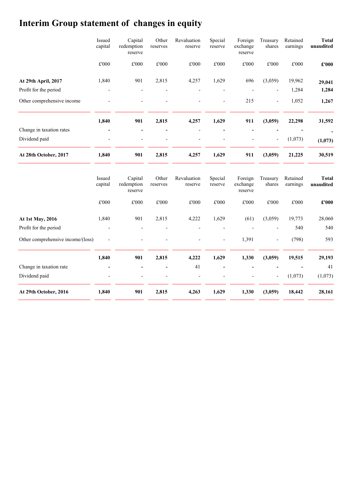# Interim Group statement of changes in equity

|                                   | Issued<br>capital | Capital<br>redemption<br>reserve | Other<br>reserves | Revaluation<br>reserve | Special<br>reserve       | Foreign<br>exchange<br>reserve | Treasury<br>shares       | Retained<br>earnings | <b>Total</b><br>unaudited     |
|-----------------------------------|-------------------|----------------------------------|-------------------|------------------------|--------------------------|--------------------------------|--------------------------|----------------------|-------------------------------|
|                                   | $\pounds 000$     | $\pounds 000$                    | £'000             | $\pounds 000$          | $\pounds 000$            | $\pounds 000$                  | £'000                    | $\pounds 000$        | $\pmb{\pounds}^{\text{r}}000$ |
| At 29th April, 2017               | 1,840             | 901                              | 2,815             | 4,257                  | 1,629                    | 696                            | (3,059)                  | 19,962               | 29,041                        |
| Profit for the period             |                   |                                  |                   |                        |                          |                                | $\overline{\phantom{a}}$ | 1,284                | 1,284                         |
| Other comprehensive income        |                   |                                  |                   |                        | $\overline{\phantom{0}}$ | 215                            | $\overline{a}$           | 1,052                | 1,267                         |
|                                   | 1,840             | 901                              | 2,815             | 4,257                  | 1,629                    | 911                            | (3,059)                  | 22,298               | 31,592                        |
| Change in taxation rates          |                   |                                  |                   |                        |                          |                                |                          |                      |                               |
| Dividend paid                     |                   |                                  |                   |                        |                          |                                | L,                       | (1,073)              | (1,073)                       |
| At 28th October, 2017             | 1,840             | 901                              | 2,815             | 4,257                  | 1,629                    | 911                            | (3,059)                  | 21,225               | 30,519                        |
|                                   | Issued<br>capital | Capital<br>redemption<br>reserve | Other<br>reserves | Revaluation<br>reserve | Special<br>reserve       | Foreign<br>exchange<br>reserve | Treasury<br>shares       | Retained<br>earnings | <b>Total</b><br>unaudited     |
|                                   | $\pounds 000$     | $\pounds 000$                    | $\pounds 000$     | £'000                  | $\pounds 000$            | $\pounds 000$                  | $\pounds 000$            | $\pounds 000$        | $\pmb{\pounds}^{\text{r}}000$ |
| At 1st May, 2016                  | 1,840             | 901                              | 2,815             | 4,222                  | 1,629                    | (61)                           | (3,059)                  | 19,773               | 28,060                        |
| Profit for the period             |                   |                                  |                   |                        |                          |                                |                          | 540                  | 540                           |
| Other comprehensive income/(loss) |                   |                                  |                   |                        |                          | 1,391                          |                          | (798)                | 593                           |
|                                   | 1,840             | 901                              | 2,815             | 4,222                  | 1,629                    | 1,330                          | (3,059)                  | 19,515               | 29,193                        |
| Change in taxation rate           |                   |                                  |                   | 41                     |                          |                                |                          |                      | 41                            |
| Dividend paid                     |                   |                                  |                   |                        |                          |                                | L                        | (1,073)              | (1,073)                       |
| At 29th October, 2016             | 1,840             | 901                              | 2,815             | 4,263                  | 1,629                    | 1,330                          | (3,059)                  | 18,442               | 28,161                        |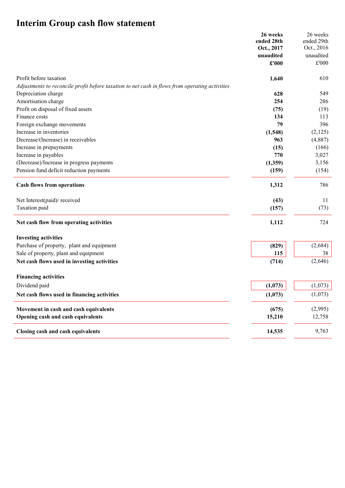# Interim Group cash flow statement

|                                                                                                | 26 weeks        | 26 weeks   |
|------------------------------------------------------------------------------------------------|-----------------|------------|
|                                                                                                | ended 28th      | ended 29th |
|                                                                                                | Oct., 2017      | Oct., 2016 |
|                                                                                                | unaudited       | unaudited  |
|                                                                                                | £'000           | £'000      |
| Profit before taxation                                                                         | 1,640           | 610        |
| Adjustments to reconcile profit before taxation to net cash in flows from operating activities |                 |            |
| Depreciation charge                                                                            | 628             | 549        |
| Amortisation charge                                                                            | 254             | 286        |
| Profit on disposal of fixed assets                                                             | (75)            | (19)       |
| Finance costs                                                                                  | 134             | 113        |
| Foreign exchange movements                                                                     | 79              | 396        |
| Increase in inventories                                                                        | (1, 548)        | (2,125)    |
| Decrease/(Increase) in receivables                                                             | 963             | (4,887)    |
| Increase in prepayments                                                                        | (15)            | (166)      |
| Increase in payables                                                                           | 770             | 3,027      |
| (Decrease)/Increase in progress payments                                                       | (1,359)         | 3,156      |
| Pension fund deficit reduction payments                                                        | (159)           | (154)      |
| <b>Cash flows from operations</b>                                                              | 1,312           | 786        |
| Net Interest(paid)/received                                                                    | (43)            | 11         |
| Taxation paid                                                                                  | (157)           | (73)       |
| Net cash flow from operating activities                                                        | 1,112           | 724        |
| <b>Investing activities</b>                                                                    |                 |            |
| Purchase of property, plant and equipment                                                      | (829)           | (2,684)    |
| Sale of property, plant and equipment                                                          | 115             | 38         |
| Net cash flows used in investing activities                                                    | (714)           | (2,646)    |
| <b>Financing activities</b>                                                                    |                 |            |
| Dividend paid                                                                                  | (1,073)         | (1,073)    |
| Net cash flows used in financing activities                                                    | (1,073)         | (1,073)    |
|                                                                                                |                 | (2,995)    |
| Movement in cash and cash equivalents<br>Opening cash and cash equivalents                     | (675)<br>15,210 | 12,758     |
|                                                                                                |                 |            |
| Closing cash and cash equivalents                                                              | 14,535          | 9,763      |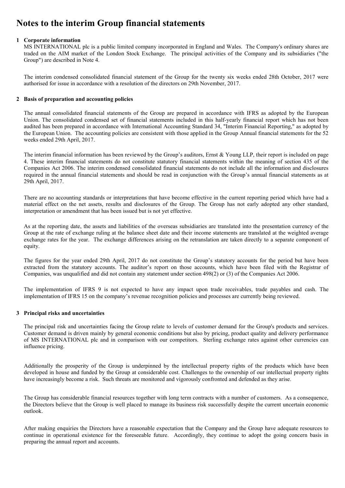## Notes to the interim Group financial statements

### 1 Corporate information

MS INTERNATIONAL plc is a public limited company incorporated in England and Wales. The Company's ordinary shares are traded on the AIM market of the London Stock Exchange. The principal activities of the Company and its subsidiaries ("the Group") are described in Note 4.

The interim condensed consolidated financial statement of the Group for the twenty six weeks ended 28th October, 2017 were authorised for issue in accordance with a resolution of the directors on 29th November, 2017.

### 2 Basis of preparation and accounting policies

The annual consolidated financial statements of the Group are prepared in accordance with IFRS as adopted by the European Union. The consolidated condensed set of financial statements included in this half-yearly financial report which has not been audited has been prepared in accordance with International Accounting Standard 34, "Interim Financial Reporting," as adopted by the European Union. The accounting policies are consistent with those applied in the Group Annual financial statements for the 52 weeks ended 29th April, 2017.

The interim financial information has been reviewed by the Group's auditors, Ernst & Young LLP, their report is included on page 4. These interim financial statements do not constitute statutory financial statements within the meaning of section 435 of the Companies Act 2006. The interim condensed consolidated financial statements do not include all the information and disclosures required in the annual financial statements and should be read in conjunction with the Group's annual financial statements as at 29th April, 2017.

There are no accounting standards or interpretations that have become effective in the current reporting period which have had a material effect on the net assets, results and disclosures of the Group. The Group has not early adopted any other standard, interpretation or amendment that has been issued but is not yet effective.

As at the reporting date, the assets and liabilities of the overseas subsidiaries are translated into the presentation currency of the Group at the rate of exchange ruling at the balance sheet date and their income statements are translated at the weighted average exchange rates for the year. The exchange differences arising on the retranslation are taken directly to a separate component of equity.

The figures for the year ended 29th April, 2017 do not constitute the Group's statutory accounts for the period but have been extracted from the statutory accounts. The auditor's report on those accounts, which have been filed with the Registrar of Companies, was unqualified and did not contain any statement under section 498(2) or (3) of the Companies Act 2006.

The implementation of IFRS 9 is not expected to have any impact upon trade receivables, trade payables and cash. The implementation of IFRS 15 on the company's revenue recognition policies and processes are currently being reviewed.

### 3 Principal risks and uncertainties

The principal risk and uncertainties facing the Group relate to levels of customer demand for the Group's products and services. Customer demand is driven mainly by general economic conditions but also by pricing, product quality and delivery performance of MS INTERNATIONAL plc and in comparison with our competitors. Sterling exchange rates against other currencies can influence pricing.

Additionally the prosperity of the Group is underpinned by the intellectual property rights of the products which have been developed in house and funded by the Group at considerable cost. Challenges to the ownership of our intellectual property rights have increasingly become a risk. Such threats are monitored and vigorously confronted and defended as they arise.

The Group has considerable financial resources together with long term contracts with a number of customers. As a consequence, the Directors believe that the Group is well placed to manage its business risk successfully despite the current uncertain economic outlook.

After making enquiries the Directors have a reasonable expectation that the Company and the Group have adequate resources to continue in operational existence for the foreseeable future. Accordingly, they continue to adopt the going concern basis in preparing the annual report and accounts.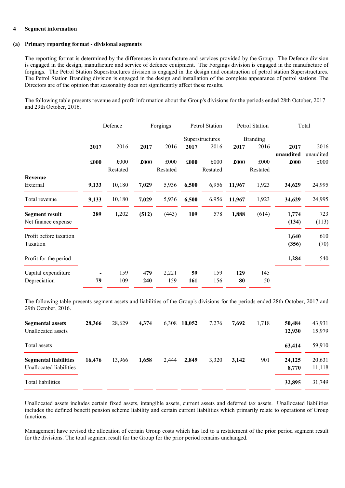### 4 Segment information

### (a) Primary reporting format - divisional segments

The reporting format is determined by the differences in manufacture and services provided by the Group. The Defence division is engaged in the design, manufacture and service of defence equipment. The Forgings division is engaged in the manufacture of forgings. The Petrol Station Superstructures division is engaged in the design and construction of petrol station Superstructures. The Petrol Station Branding division is engaged in the design and installation of the complete appearance of petrol stations. The Directors are of the opinion that seasonality does not significantly affect these results.

The following table presents revenue and profit information about the Group's divisions for the periods ended 28th October, 2017 and 29th October, 2016.

|                                              |       | Defence          |       | Forgings         |       | Petrol Station   |        | Petrol Station   |                   | Total             |
|----------------------------------------------|-------|------------------|-------|------------------|-------|------------------|--------|------------------|-------------------|-------------------|
|                                              |       |                  |       |                  |       | Superstructures  |        | <b>Branding</b>  |                   |                   |
|                                              | 2017  | 2016             | 2017  | 2016             | 2017  | 2016             | 2017   | 2016             | 2017<br>unaudited | 2016<br>unaudited |
|                                              | £000  | £000<br>Restated | £000  | £000<br>Restated | £000  | £000<br>Restated | £000   | £000<br>Restated | £000              | £000              |
| Revenue                                      |       |                  |       |                  |       |                  |        |                  |                   |                   |
| External                                     | 9,133 | 10,180           | 7,029 | 5,936            | 6,500 | 6,956            | 11,967 | 1,923            | 34,629            | 24,995            |
| Total revenue                                | 9,133 | 10,180           | 7,029 | 5,936            | 6,500 | 6,956            | 11,967 | 1,923            | 34,629            | 24,995            |
| <b>Segment result</b><br>Net finance expense | 289   | 1,202            | (512) | (443)            | 109   | 578              | 1,888  | (614)            | 1,774<br>(134)    | 723<br>(113)      |
| Profit before taxation<br>Taxation           |       |                  |       |                  |       |                  |        |                  | 1,640<br>(356)    | 610<br>(70)       |
| Profit for the period                        |       |                  |       |                  |       |                  |        |                  | 1,284             | 540               |
| Capital expenditure                          |       | 159              | 479   | 2,221            | 59    | 159              | 129    | 145              |                   |                   |
| Depreciation                                 | 79    | 109              | 240   | 159              | 161   | 156              | 80     | 50               |                   |                   |

The following table presents segment assets and liabilities of the Group's divisions for the periods ended 28th October, 2017 and 29th October, 2016.

| <b>Segmental assets</b><br>Unallocated assets           | 28,366 | 28,629 | 4.374 | 6,308 | 10,052 | 7,276 | 7.692 | 1,718 | 50,484<br>12,930 | 43,931<br>15,979 |
|---------------------------------------------------------|--------|--------|-------|-------|--------|-------|-------|-------|------------------|------------------|
| Total assets                                            |        |        |       |       |        |       |       |       | 63,414           | 59,910           |
| <b>Segmental liabilities</b><br>Unallocated liabilities | 16.476 | 13,966 | 1,658 | 2,444 | 2,849  | 3,320 | 3,142 | 901   | 24,125<br>8.770  | 20,631<br>11,118 |
| Total liabilities                                       |        |        |       |       |        |       |       |       | 32,895           | 31,749           |

Unallocated assets includes certain fixed assets, intangible assets, current assets and deferred tax assets. Unallocated liabilities includes the defined benefit pension scheme liability and certain current liabilities which primarily relate to operations of Group functions.

Management have revised the allocation of certain Group costs which has led to a restatement of the prior period segment result for the divisions. The total segment result for the Group for the prior period remains unchanged.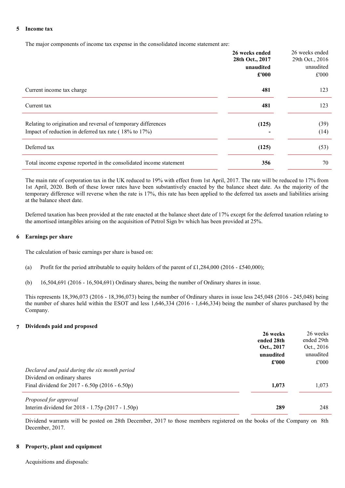### 5 Income tax

The major components of income tax expense in the consolidated income statement are:

|                                                                    | 26 weeks ended<br>28th Oct., 2017 | 26 weeks ended<br>29th Oct., 2016 |
|--------------------------------------------------------------------|-----------------------------------|-----------------------------------|
|                                                                    | unaudited                         | unaudited                         |
|                                                                    | £'000                             | £'000                             |
| Current income tax charge                                          | 481                               | 123                               |
| Current tax                                                        | 481                               | 123                               |
| Relating to origination and reversal of temporary differences      | (125)                             | (39)                              |
| Impact of reduction in deferred tax rate (18% to 17%)              |                                   | (14)                              |
| Deferred tax                                                       | (125)                             | (53)                              |
| Total income expense reported in the consolidated income statement | 356                               | 70                                |

The main rate of corporation tax in the UK reduced to 19% with effect from 1st April, 2017. The rate will be reduced to 17% from 1st April, 2020. Both of these lower rates have been substantively enacted by the balance sheet date. As the majority of the temporary difference will reverse when the rate is 17%, this rate has been applied to the deferred tax assets and liabilities arising at the balance sheet date.

Deferred taxation has been provided at the rate enacted at the balance sheet date of 17% except for the deferred taxation relating to the amortised intangibles arising on the acquisition of Petrol Sign bv which has been provided at 25%.

### 6 Earnings per share

The calculation of basic earnings per share is based on:

- (a) Profit for the period attributable to equity holders of the parent of £1,284,000 (2016 £540,000);
- (b) 16,504,691 (2016 16,504,691) Ordinary shares, being the number of Ordinary shares in issue.

This represents 18,396,073 (2016 - 18,396,073) being the number of Ordinary shares in issue less 245,048 (2016 - 245,048) being the number of shares held within the ESOT and less 1,646,334 (2016 - 1,646,334) being the number of shares purchased by the Company.

### 7 Dividends paid and proposed

|                                                                           | 26 weeks<br>ended 28th | 26 weeks<br>ended 29th |
|---------------------------------------------------------------------------|------------------------|------------------------|
|                                                                           | Oct., 2017             | Oct., 2016             |
|                                                                           | unaudited              | unaudited              |
|                                                                           | £'000                  | £'000                  |
| Declared and paid during the six month period                             |                        |                        |
| Dividend on ordinary shares                                               |                        |                        |
| Final dividend for $2017 - 6.50p(2016 - 6.50p)$                           | 1,073                  | 1,073                  |
| Proposed for approval<br>Interim dividend for 2018 - 1.75p (2017 - 1.50p) | 289                    | 248                    |

Dividend warrants will be posted on 28th December, 2017 to those members registered on the books of the Company on 8th December, 2017.

### 8 Property, plant and equipment

Acquisitions and disposals: